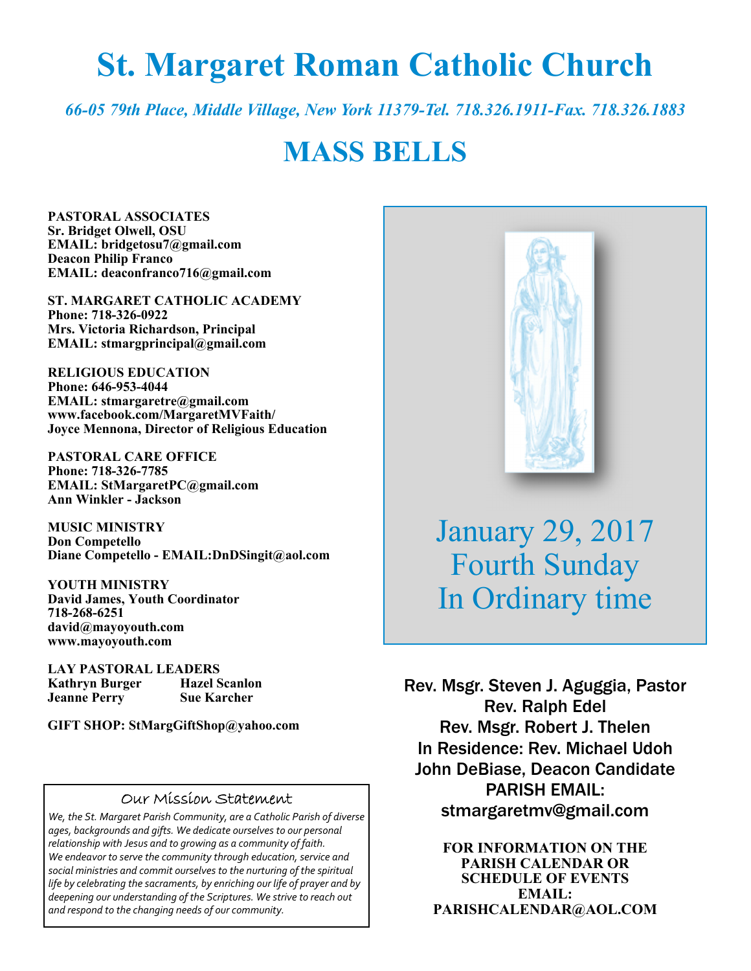# **St. Margaret Roman Catholic Church**

*66-05 79th Place, Middle Village, New York 11379-Tel. 718.326.1911-Fax. 718.326.1883* 

# **MASS BELLS**

**PASTORAL ASSOCIATES Sr. Bridget Olwell, OSU EMAIL: bridgetosu7@gmail.com Deacon Philip Franco EMAIL: deaconfranco716@gmail.com** 

**ST. MARGARET CATHOLIC ACADEMY Phone: 718-326-0922 Mrs. Victoria Richardson, Principal EMAIL: stmargprincipal@gmail.com** 

**RELIGIOUS EDUCATION Phone: 646-953-4044 EMAIL: stmargaretre@gmail.com www.facebook.com/MargaretMVFaith/ Joyce Mennona, Director of Religious Education** 

**PASTORAL CARE OFFICE Phone: 718-326-7785 EMAIL: StMargaretPC@gmail.com Ann Winkler - Jackson** 

**MUSIC MINISTRY Don Competello Diane Competello - EMAIL:DnDSingit@aol.com** 

**YOUTH MINISTRY David James, Youth Coordinator 718-268-6251 david@mayoyouth.com www.mayoyouth.com** 

**LAY PASTORAL LEADERS Kathryn Burger Hazel Scanlon Jeanne Perry Sue Karcher** 

**GIFT SHOP: StMargGiftShop@yahoo.com**

#### Our Mission Statement

*We, the St. Margaret Parish Community, are a Catholic Parish of diverse ages, backgrounds and gifts. We dedicate ourselves to our personal relationship with Jesus and to growing as a community of faith. We endeavor to serve the community through education, service and social ministries and commit ourselves to the nurturing of the spiritual life by celebrating the sacraments, by enriching our life of prayer and by deepening our understanding of the Scriptures. We strive to reach out and respond to the changing needs of our community.*



January 29, 2017 Fourth Sunday In Ordinary time

Rev. Msgr. Steven J. Aguggia, Pastor Rev. Ralph Edel Rev. Msgr. Robert J. Thelen In Residence: Rev. Michael Udoh John DeBiase, Deacon Candidate PARISH EMAIL: stmargaretmv@gmail.com

> **FOR INFORMATION ON THE PARISH CALENDAR OR SCHEDULE OF EVENTS EMAIL: PARISHCALENDAR@AOL.COM**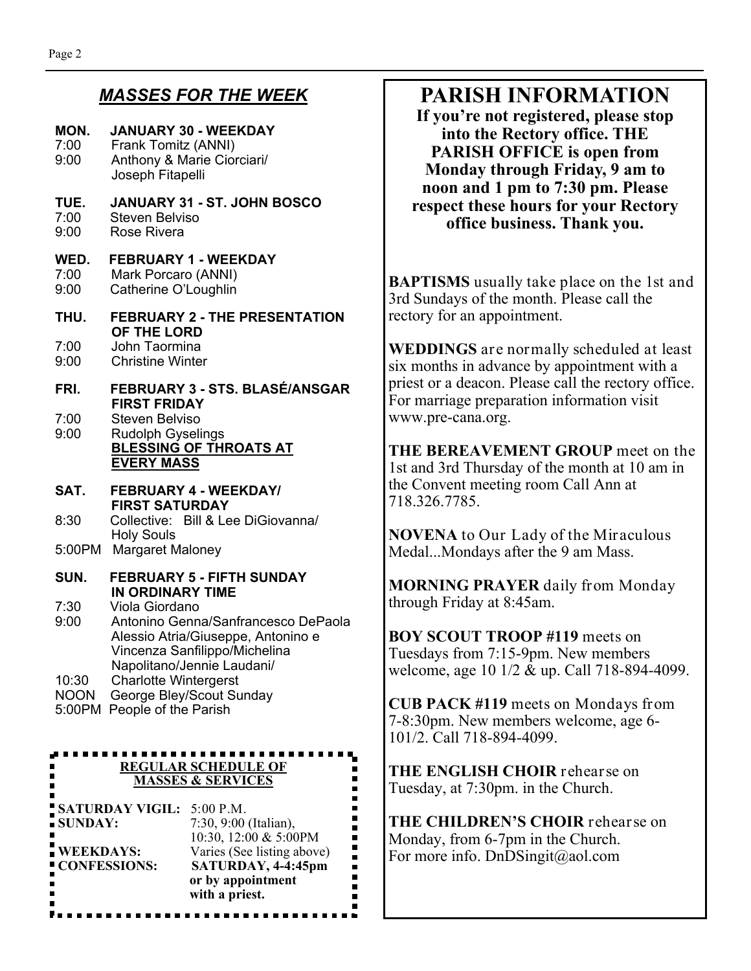## *MASSES FOR THE WEEK*

#### **MON. JANUARY 30 - WEEKDAY**  7:00 Frank Tomitz (ANNI) 9:00 Anthony & Marie Ciorciari/ Joseph Fitapelli **TUE. JANUARY 31 - ST. JOHN BOSCO**  7:00 Steven Belviso<br>9:00 Rose Rivera Rose Rivera **WED. FEBRUARY 1 - WEEKDAY**  7:00 Mark Porcaro (ANNI) 9:00 Catherine O'Loughlin **THU. FEBRUARY 2 - THE PRESENTATION OF THE LORD**  7:00 John Taormina Christine Winter **FRI. FEBRUARY 3 - STS. BLASÉ/ANSGAR FIRST FRIDAY**  7:00 Steven Belviso 9:00 Rudolph Gyselings **BLESSING OF THROATS AT EVERY MASS SAT. FEBRUARY 4 - WEEKDAY/ FIRST SATURDAY**  8:30 Collective: Bill & Lee DiGiovanna/ Holy Souls 5:00PM Margaret Maloney **SUN. FEBRUARY 5 - FIFTH SUNDAY IN ORDINARY TIME**<br>7:30 Viola Giordano Viola Giordano 9:00 Antonino Genna/Sanfrancesco DePaola Alessio Atria/Giuseppe, Antonino e Vincenza Sanfilippo/Michelina Napolitano/Jennie Laudani/ 10:30 Charlotte Wintergerst NOON George Bley/Scout Sunday 5:00PM People of the Parish **REGULAR SCHEDULE OF MASSES & SERVICES SATURDAY VIGIL:** 5:00 P.M. **SUNDAY:** 7:30, 9:00 (Italian),

**T**<br>**NECKDAYS:**  $\frac{10:30}{12:00 \& 5:00 \text{PM}}$ <br>Varies (See listing above Varies (See listing above) **CONFESSIONS: SATURDAY, 4-4:45pm or by appointment with a priest.**

<u>Peesse sessess</u>

## **PARISH INFORMATION**

**If you're not registered, please stop into the Rectory office. THE PARISH OFFICE is open from Monday through Friday, 9 am to noon and 1 pm to 7:30 pm. Please respect these hours for your Rectory office business. Thank you.** 

**BAPTISMS** usually take place on the 1st and 3rd Sundays of the month. Please call the rectory for an appointment.

**WEDDINGS** are normally scheduled at least six months in advance by appointment with a priest or a deacon. Please call the rectory office. For marriage preparation information visit www.pre-cana.org.

**THE BEREAVEMENT GROUP** meet on the 1st and 3rd Thursday of the month at 10 am in the Convent meeting room Call Ann at 718.326.7785.

**NOVENA** to Our Lady of the Miraculous Medal...Mondays after the 9 am Mass.

**MORNING PRAYER** daily from Monday through Friday at 8:45am.

**BOY SCOUT TROOP #119** meets on Tuesdays from 7:15-9pm. New members welcome, age 10 1/2 & up. Call 718-894-4099.

**CUB PACK #119** meets on Mondays from 7-8:30pm. New members welcome, age 6- 101/2. Call 718-894-4099.

**THE ENGLISH CHOIR** rehearse on Tuesday, at 7:30pm. in the Church.

**THE CHILDREN'S CHOIR** rehearse on Monday, from 6-7pm in the Church. For more info. DnDSingit@aol.com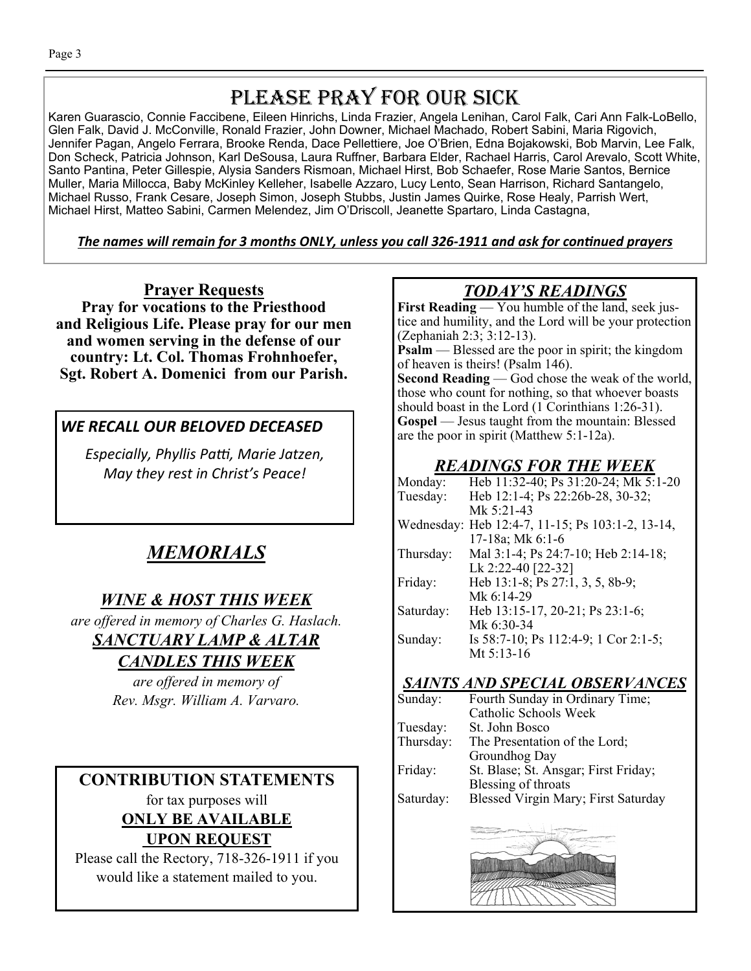## PLEASE PRAY FOR OUR SICK

Karen Guarascio, Connie Faccibene, Eileen Hinrichs, Linda Frazier, Angela Lenihan, Carol Falk, Cari Ann Falk-LoBello, Glen Falk, David J. McConville, Ronald Frazier, John Downer, Michael Machado, Robert Sabini, Maria Rigovich, Jennifer Pagan, Angelo Ferrara, Brooke Renda, Dace Pellettiere, Joe O'Brien, Edna Bojakowski, Bob Marvin, Lee Falk, Don Scheck, Patricia Johnson, Karl DeSousa, Laura Ruffner, Barbara Elder, Rachael Harris, Carol Arevalo, Scott White, Santo Pantina, Peter Gillespie, Alysia Sanders Rismoan, Michael Hirst, Bob Schaefer, Rose Marie Santos, Bernice Muller, Maria Millocca, Baby McKinley Kelleher, Isabelle Azzaro, Lucy Lento, Sean Harrison, Richard Santangelo, Michael Russo, Frank Cesare, Joseph Simon, Joseph Stubbs, Justin James Quirke, Rose Healy, Parrish Wert, Michael Hirst, Matteo Sabini, Carmen Melendez, Jim O'Driscoll, Jeanette Spartaro, Linda Castagna,

The names will remain for 3 months ONLY, unless you call 326-1911 and ask for continued prayers

**Prayer Requests Pray for vocations to the Priesthood and Religious Life. Please pray for our men and women serving in the defense of our country: Lt. Col. Thomas Frohnhoefer, Sgt. Robert A. Domenici from our Parish.**

## *WE RECALL OUR BELOVED DECEASED*

*Especially, Phyllis Paƫ, Marie Jatzen, May they rest in Christ's Peace!* 

## *MEMORIALS*

## *WINE & HOST THIS WEEK*

*are offered in memory of Charles G. Haslach. SANCTUARY LAMP & ALTAR* 

## *CANDLES THIS WEEK*

*are offered in memory of Rev. Msgr. William A. Varvaro.* 

#### **CONTRIBUTION STATEMENTS**  for tax purposes will **ONLY BE AVAILABLE UPON REQUEST**

Please call the Rectory, 718-326-1911 if you would like a statement mailed to you.

## *TODAY'S READINGS*

**First Reading** — You humble of the land, seek justice and humility, and the Lord will be your protection (Zephaniah 2:3; 3:12-13).

**Psalm** — Blessed are the poor in spirit; the kingdom of heaven is theirs! (Psalm 146).

**Second Reading** — God chose the weak of the world, those who count for nothing, so that whoever boasts should boast in the Lord (1 Corinthians 1:26-31). **Gospel** — Jesus taught from the mountain: Blessed are the poor in spirit (Matthew 5:1-12a).

## *READINGS FOR THE WEEK*

| Monday:   | Heb 11:32-40; Ps 31:20-24; Mk 5:1-20             |  |  |
|-----------|--------------------------------------------------|--|--|
| Tuesday:  | Heb 12:1-4; Ps 22:26b-28, 30-32;                 |  |  |
|           | Mk 5:21-43                                       |  |  |
|           | Wednesday: Heb 12:4-7, 11-15; Ps 103:1-2, 13-14, |  |  |
|           | 17-18a; Mk 6:1-6                                 |  |  |
| Thursday: | Mal 3:1-4; Ps 24:7-10; Heb 2:14-18;              |  |  |
|           | Lk 2:22-40 [22-32]                               |  |  |
| Friday:   | Heb 13:1-8; Ps 27:1, 3, 5, 8b-9;                 |  |  |
|           | Mk 6:14-29                                       |  |  |
| Saturday: | Heb 13:15-17, 20-21; Ps 23:1-6;                  |  |  |
|           | Mk 6:30-34                                       |  |  |
| Sunday:   | Is 58:7-10; Ps 112:4-9; 1 Cor 2:1-5;             |  |  |
|           | Mt 5:13-16                                       |  |  |
|           |                                                  |  |  |

## *SAINTS AND SPECIAL OBSERVANCES*

| Sunday:   | Fourth Sunday in Ordinary Time;      |  |  |
|-----------|--------------------------------------|--|--|
|           | Catholic Schools Week                |  |  |
| Tuesday:  | St. John Bosco                       |  |  |
| Thursday: | The Presentation of the Lord;        |  |  |
|           | Groundhog Day                        |  |  |
| Friday:   | St. Blase; St. Ansgar; First Friday; |  |  |
|           | Blessing of throats                  |  |  |
| Saturday: | Blessed Virgin Mary; First Saturday  |  |  |
|           |                                      |  |  |

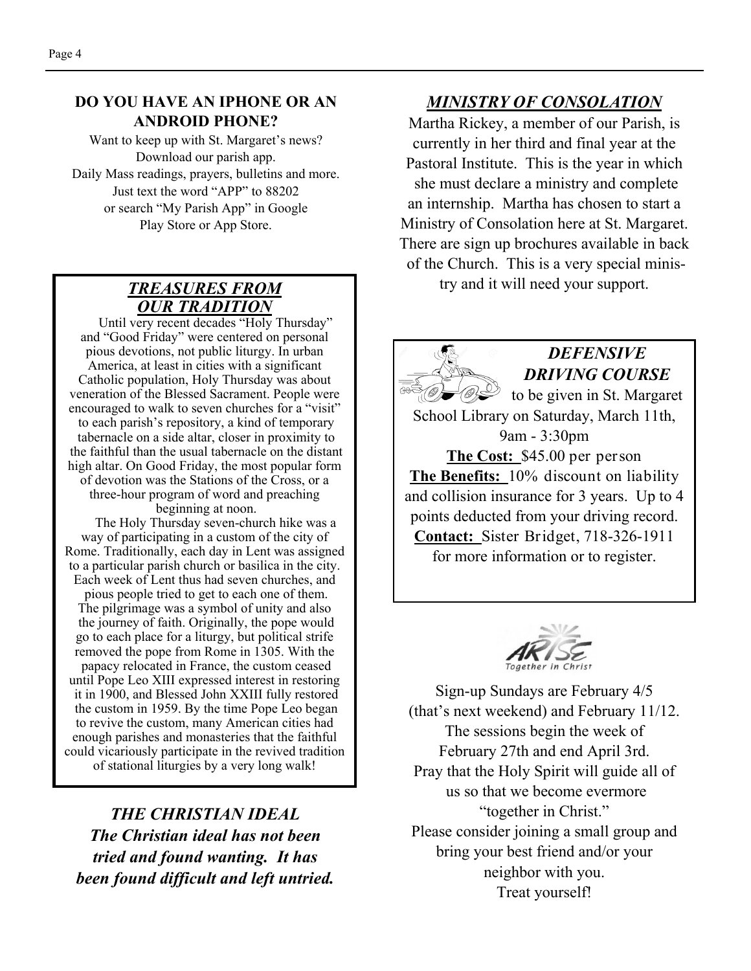#### **DO YOU HAVE AN IPHONE OR AN ANDROID PHONE?**

Want to keep up with St. Margaret's news? Download our parish app. Daily Mass readings, prayers, bulletins and more. Just text the word "APP" to 88202 or search "My Parish App" in Google Play Store or App Store.

## *TREASURES FROM OUR TRADITION*

 Until very recent decades "Holy Thursday" and "Good Friday" were centered on personal pious devotions, not public liturgy. In urban America, at least in cities with a significant Catholic population, Holy Thursday was about veneration of the Blessed Sacrament. People were encouraged to walk to seven churches for a "visit" to each parish's repository, a kind of temporary tabernacle on a side altar, closer in proximity to the faithful than the usual tabernacle on the distant high altar. On Good Friday, the most popular form of devotion was the Stations of the Cross, or a three-hour program of word and preaching beginning at noon.

 The Holy Thursday seven-church hike was a way of participating in a custom of the city of Rome. Traditionally, each day in Lent was assigned to a particular parish church or basilica in the city. Each week of Lent thus had seven churches, and pious people tried to get to each one of them. The pilgrimage was a symbol of unity and also the journey of faith. Originally, the pope would go to each place for a liturgy, but political strife removed the pope from Rome in 1305. With the papacy relocated in France, the custom ceased until Pope Leo XIII expressed interest in restoring it in 1900, and Blessed John XXIII fully restored the custom in 1959. By the time Pope Leo began to revive the custom, many American cities had enough parishes and monasteries that the faithful could vicariously participate in the revived tradition of stational liturgies by a very long walk!

*THE CHRISTIAN IDEAL The Christian ideal has not been tried and found wanting. It has been found difficult and left untried.* 

### *MINISTRY OF CONSOLATION*

Martha Rickey, a member of our Parish, is currently in her third and final year at the Pastoral Institute. This is the year in which she must declare a ministry and complete an internship. Martha has chosen to start a Ministry of Consolation here at St. Margaret. There are sign up brochures available in back of the Church. This is a very special ministry and it will need your support.



## *DEFENSIVE DRIVING COURSE*

to be given in St. Margaret School Library on Saturday, March 11th, 9am - 3:30pm **The Cost:** \$45.00 per person **The Benefits:** 10% discount on liability and collision insurance for 3 years. Up to 4 points deducted from your driving record. **Contact:** Sister Bridget, 718-326-1911 for more information or to register.



Sign-up Sundays are February 4/5 (that's next weekend) and February 11/12. The sessions begin the week of February 27th and end April 3rd. Pray that the Holy Spirit will guide all of us so that we become evermore "together in Christ." Please consider joining a small group and bring your best friend and/or your neighbor with you. Treat yourself!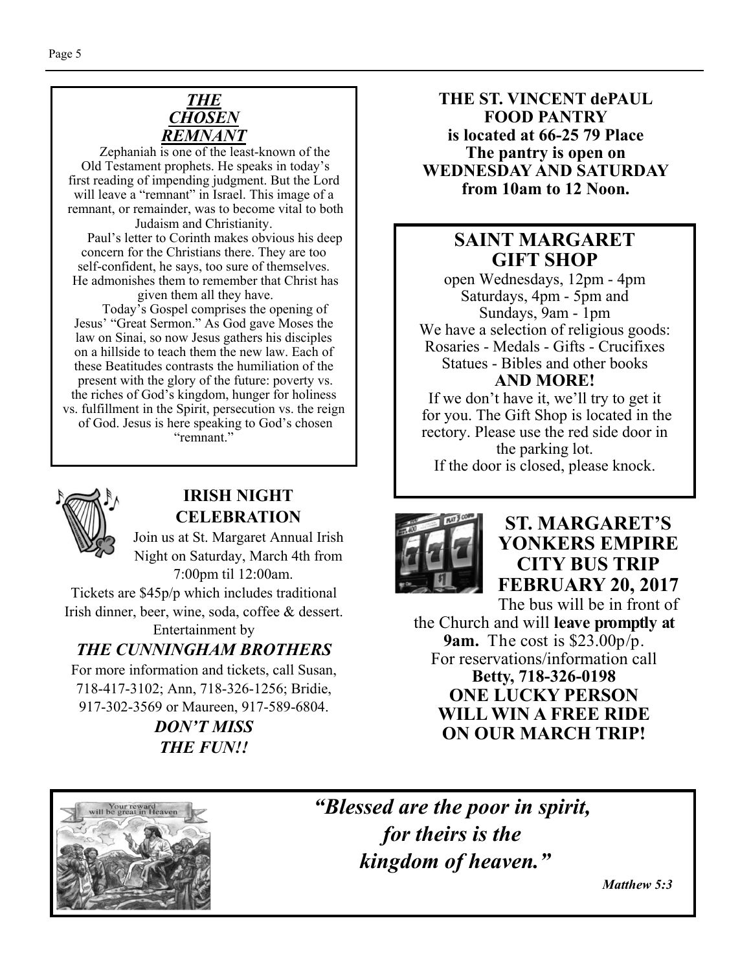

 Zephaniah is one of the least-known of the Old Testament prophets. He speaks in today's first reading of impending judgment. But the Lord will leave a "remnant" in Israel. This image of a remnant, or remainder, was to become vital to both

Judaism and Christianity. Paul's letter to Corinth makes obvious his deep concern for the Christians there. They are too self-confident, he says, too sure of themselves. He admonishes them to remember that Christ has given them all they have.

 Today's Gospel comprises the opening of Jesus' "Great Sermon." As God gave Moses the law on Sinai, so now Jesus gathers his disciples on a hillside to teach them the new law. Each of these Beatitudes contrasts the humiliation of the present with the glory of the future: poverty vs. the riches of God's kingdom, hunger for holiness vs. fulfillment in the Spirit, persecution vs. the reign of God. Jesus is here speaking to God's chosen "remnant."



#### **IRISH NIGHT CELEBRATION**

Join us at St. Margaret Annual Irish Night on Saturday, March 4th from 7:00pm til 12:00am.

Tickets are \$45p/p which includes traditional Irish dinner, beer, wine, soda, coffee & dessert.

Entertainment by

## *THE CUNNINGHAM BROTHERS*

For more information and tickets, call Susan, 718-417-3102; Ann, 718-326-1256; Bridie, 917-302-3569 or Maureen, 917-589-6804.

> *DON'T MISS THE FUN!!*

**THE ST. VINCENT dePAUL FOOD PANTRY is located at 66-25 79 Place The pantry is open on WEDNESDAY AND SATURDAY from 10am to 12 Noon.** 

## **SAINT MARGARET GIFT SHOP**

open Wednesdays, 12pm - 4pm Saturdays, 4pm - 5pm and Sundays, 9am - 1pm We have a selection of religious goods: Rosaries - Medals - Gifts - Crucifixes Statues - Bibles and other books **AND MORE!** 

If we don't have it, we'll try to get it for you. The Gift Shop is located in the rectory. Please use the red side door in the parking lot. If the door is closed, please knock.



**ST. MARGARET'S YONKERS EMPIRE CITY BUS TRIP FEBRUARY 20, 2017** 

The bus will be in front of the Church and will **leave promptly at 9am.** The cost is \$23.00p/p. For reservations/information call **Betty, 718-326-0198 ONE LUCKY PERSON WILL WIN A FREE RIDE ON OUR MARCH TRIP!** 



*"Blessed are the poor in spirit, for theirs is the kingdom of heaven."* 

 *Matthew 5:3*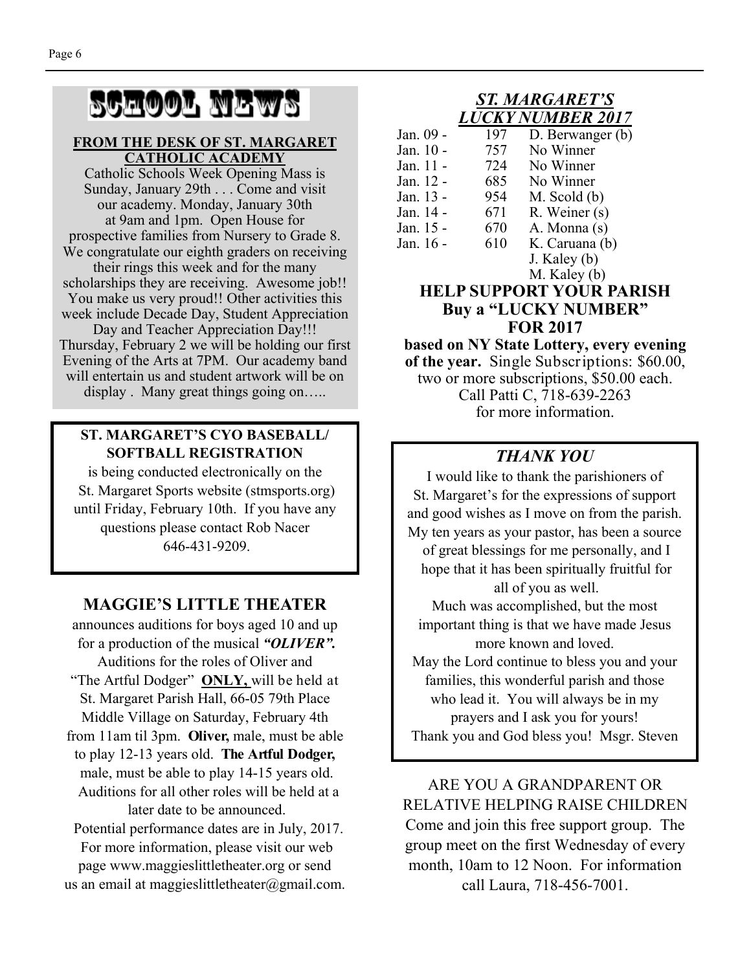# SCHOOL NEWS

#### **FROM THE DESK OF ST. MARGARET CATHOLIC ACADEMY**

Catholic Schools Week Opening Mass is Sunday, January 29th . . . Come and visit our academy. Monday, January 30th at 9am and 1pm. Open House for prospective families from Nursery to Grade 8. We congratulate our eighth graders on receiving their rings this week and for the many scholarships they are receiving. Awesome job!! You make us very proud!! Other activities this week include Decade Day, Student Appreciation Day and Teacher Appreciation Day!!! Thursday, February 2 we will be holding our first Evening of the Arts at 7PM. Our academy band

will entertain us and student artwork will be on display . Many great things going on.....

#### **ST. MARGARET'S CYO BASEBALL/ SOFTBALL REGISTRATION**

is being conducted electronically on the St. Margaret Sports website (stmsports.org) until Friday, February 10th. If you have any questions please contact Rob Nacer 646-431-9209.

## **MAGGIE'S LITTLE THEATER**

announces auditions for boys aged 10 and up for a production of the musical *"OLIVER".*  Auditions for the roles of Oliver and "The Artful Dodger" **ONLY**, will be held at St. Margaret Parish Hall, 66-05 79th Place Middle Village on Saturday, February 4th from 11am til 3pm. **Oliver,** male, must be able to play 12-13 years old. **The Artful Dodger,**  male, must be able to play 14-15 years old. Auditions for all other roles will be held at a later date to be announced.

 Potential performance dates are in July, 2017. For more information, please visit our web page www.maggieslittletheater.org or send us an email at maggieslittletheater $@g$ gmail.com.

#### *ST. MARGARET'S LUCKY NUMBER 2017*

| Jan. 09 - | 197 | D. Berwanger (b) |
|-----------|-----|------------------|
| Jan. 10 - | 757 | No Winner        |
| Jan. 11 - | 724 | No Winner        |
| Jan. 12 - | 685 | No Winner        |
| Jan. 13 - | 954 | $M.$ Scold $(b)$ |
| Jan. 14 - | 671 | R. Weiner (s)    |
| Jan. 15 - | 670 | A. Monna (s)     |
| Jan. 16 - | 610 | K. Caruana (b)   |
|           |     | J. Kaley (b)     |

#### M. Kaley (b) **HELP SUPPORT YOUR PARISH Buy a "LUCKY NUMBER" FOR 2017**

**based on NY State Lottery, every evening of the year.** Single Subscriptions: \$60.00, two or more subscriptions, \$50.00 each. Call Patti C, 718-639-2263 for more information.

## *THANK YOU*

I would like to thank the parishioners of St. Margaret's for the expressions of support and good wishes as I move on from the parish. My ten years as your pastor, has been a source of great blessings for me personally, and I hope that it has been spiritually fruitful for all of you as well.

Much was accomplished, but the most important thing is that we have made Jesus more known and loved.

May the Lord continue to bless you and your families, this wonderful parish and those who lead it. You will always be in my prayers and I ask you for yours! Thank you and God bless you! Msgr. Steven

ARE YOU A GRANDPARENT OR RELATIVE HELPING RAISE CHILDREN Come and join this free support group. The group meet on the first Wednesday of every month, 10am to 12 Noon. For information call Laura, 718-456-7001.